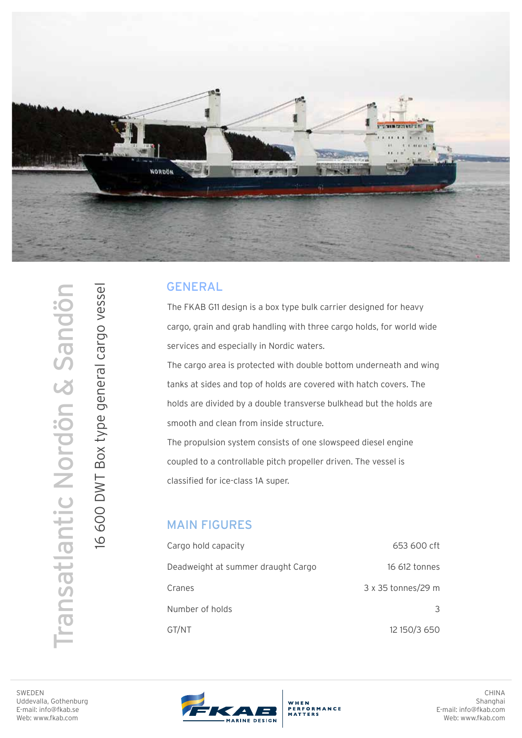

## GENERAL

The FKAB G11 design is a box type bulk carrier designed for heavy cargo, grain and grab handling with three cargo holds, for world wide services and especially in Nordic waters.

The cargo area is protected with double bottom underneath and wing tanks at sides and top of holds are covered with hatch covers. The holds are divided by a double transverse bulkhead but the holds are smooth and clean from inside structure.

The propulsion system consists of one slowspeed diesel engine coupled to a controllable pitch propeller driven. The vessel is classified for ice-class 1A super.

## MAIN FIGURES

| Cargo hold capacity                | 653 600 cft        |
|------------------------------------|--------------------|
| Deadweight at summer draught Cargo | 16 612 tonnes      |
| Cranes                             | 3 x 35 tonnes/29 m |
| Number of holds                    | 3                  |
| GT/NT                              | 12 150/3 650       |

Transatlantic Nordön & Sandön ransatlantic Nordön & Sandör 16 600 DWT Box type general cargo vessel

16 600 DWT Box type general cargo vessel